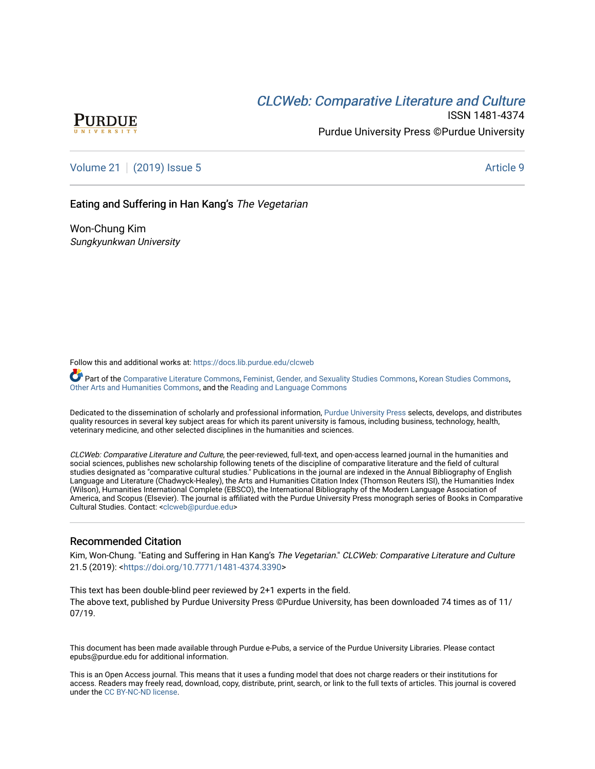# CLCW[eb: Comparative Liter](https://docs.lib.purdue.edu/clcweb)ature and Culture



ISSN 1481-4374 Purdue University Press ©Purdue University

[Volume 21](https://docs.lib.purdue.edu/clcweb/vol21) | [\(2019\) Issue 5](https://docs.lib.purdue.edu/clcweb/vol21/iss5) Article 9

Eating and Suffering in Han Kang's The Vegetarian

Won-Chung Kim Sungkyunkwan University

Follow this and additional works at: [https://docs.lib.purdue.edu/clcweb](https://docs.lib.purdue.edu/clcweb?utm_source=docs.lib.purdue.edu%2Fclcweb%2Fvol21%2Fiss5%2F9&utm_medium=PDF&utm_campaign=PDFCoverPages)

Part of the [Comparative Literature Commons,](http://network.bepress.com/hgg/discipline/454?utm_source=docs.lib.purdue.edu%2Fclcweb%2Fvol21%2Fiss5%2F9&utm_medium=PDF&utm_campaign=PDFCoverPages) [Feminist, Gender, and Sexuality Studies Commons,](http://network.bepress.com/hgg/discipline/559?utm_source=docs.lib.purdue.edu%2Fclcweb%2Fvol21%2Fiss5%2F9&utm_medium=PDF&utm_campaign=PDFCoverPages) [Korean Studies Commons,](http://network.bepress.com/hgg/discipline/1288?utm_source=docs.lib.purdue.edu%2Fclcweb%2Fvol21%2Fiss5%2F9&utm_medium=PDF&utm_campaign=PDFCoverPages) [Other Arts and Humanities Commons](http://network.bepress.com/hgg/discipline/577?utm_source=docs.lib.purdue.edu%2Fclcweb%2Fvol21%2Fiss5%2F9&utm_medium=PDF&utm_campaign=PDFCoverPages), and the [Reading and Language Commons](http://network.bepress.com/hgg/discipline/1037?utm_source=docs.lib.purdue.edu%2Fclcweb%2Fvol21%2Fiss5%2F9&utm_medium=PDF&utm_campaign=PDFCoverPages)

Dedicated to the dissemination of scholarly and professional information, [Purdue University Press](http://www.thepress.purdue.edu/) selects, develops, and distributes quality resources in several key subject areas for which its parent university is famous, including business, technology, health, veterinary medicine, and other selected disciplines in the humanities and sciences.

CLCWeb: Comparative Literature and Culture, the peer-reviewed, full-text, and open-access learned journal in the humanities and social sciences, publishes new scholarship following tenets of the discipline of comparative literature and the field of cultural studies designated as "comparative cultural studies." Publications in the journal are indexed in the Annual Bibliography of English Language and Literature (Chadwyck-Healey), the Arts and Humanities Citation Index (Thomson Reuters ISI), the Humanities Index (Wilson), Humanities International Complete (EBSCO), the International Bibliography of the Modern Language Association of America, and Scopus (Elsevier). The journal is affiliated with the Purdue University Press monograph series of Books in Comparative Cultural Studies. Contact: [<clcweb@purdue.edu](mailto:clcweb@purdue.edu)>

#### Recommended Citation

Kim, Won-Chung. "Eating and Suffering in Han Kang's The Vegetarian." CLCWeb: Comparative Literature and Culture 21.5 (2019): [<https://doi.org/10.7771/1481-4374.3390>](https://doi.org/10.7771/1481-4374.3390)

This text has been double-blind peer reviewed by 2+1 experts in the field. The above text, published by Purdue University Press ©Purdue University, has been downloaded 74 times as of 11/ 07/19.

This document has been made available through Purdue e-Pubs, a service of the Purdue University Libraries. Please contact epubs@purdue.edu for additional information.

This is an Open Access journal. This means that it uses a funding model that does not charge readers or their institutions for access. Readers may freely read, download, copy, distribute, print, search, or link to the full texts of articles. This journal is covered under the [CC BY-NC-ND license.](https://creativecommons.org/licenses/by-nc-nd/4.0/)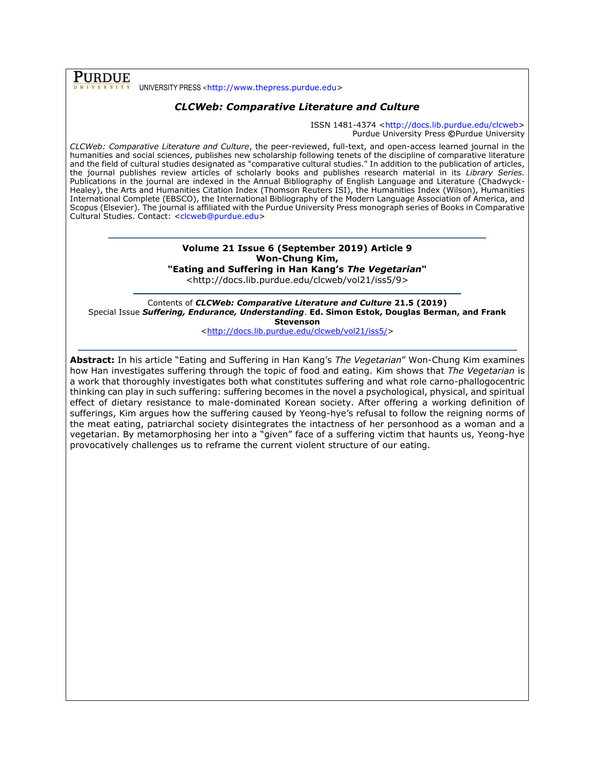**PURDUE** UNIVERSITY PRESS <[http://www.thepress.purdue.edu>](http://www.thepress.purdue.edu/)

## *CLCWeb: Comparative Literature and Culture*

ISSN 1481-4374 [<http://docs.lib.purdue.edu/clcweb>](http://docs.lib.purdue.edu/clcweb) Purdue University Press **©**Purdue University

*CLCWeb: Comparative Literature and Culture*, the peer-reviewed, full-text, and open-access learned journal in the humanities and social sciences, publishes new scholarship following tenets of the discipline of comparative literature and the field of cultural studies designated as "comparative cultural studies." In addition to the publication of articles, the journal publishes review articles of scholarly books and publishes research material in its *Library Series.*  Publications in the journal are indexed in the Annual Bibliography of English Language and Literature (Chadwyck-Healey), the Arts and Humanities Citation Index (Thomson Reuters ISI), the Humanities Index (Wilson), Humanities International Complete (EBSCO), the International Bibliography of the Modern Language Association of America, and Scopus (Elsevier). The journal is affiliated with the Purdue University Press monograph series of Books in Comparative Cultural Studies. Contact: [<clcweb@purdue.edu>](mailto:clcweb@purdue.edu)

# **Volume 21 Issue 6 (September 2019) Article 9 Won-Chung Kim,**

**"Eating and Suffering in Han Kang's** *The Vegetarian***"**

<http://docs.lib.purdue.edu/clcweb/vol21/iss5/9>

Contents of *CLCWeb: Comparative Literature and Culture* **21.5 (2019)** Special Issue *Suffering, Endurance, Understanding*. **Ed. Simon Estok, Douglas Berman, and Frank Stevenson**

[<http://docs.lib.purdue.edu/clcweb/vol21/iss5/>](http://docs.lib.purdue.edu/clcweb/vol21/iss5/)

**Abstract:** In his article "Eating and Suffering in Han Kang's *The Vegetarian*" Won-Chung Kim examines how Han investigates suffering through the topic of food and eating. Kim shows that *The Vegetarian* is a work that thoroughly investigates both what constitutes suffering and what role carno-phallogocentric thinking can play in such suffering: suffering becomes in the novel a psychological, physical, and spiritual effect of dietary resistance to male-dominated Korean society. After offering a working definition of sufferings, Kim argues how the suffering caused by Yeong-hye's refusal to follow the reigning norms of the meat eating, patriarchal society disintegrates the intactness of her personhood as a woman and a vegetarian. By metamorphosing her into a "given" face of a suffering victim that haunts us, Yeong-hye provocatively challenges us to reframe the current violent structure of our eating.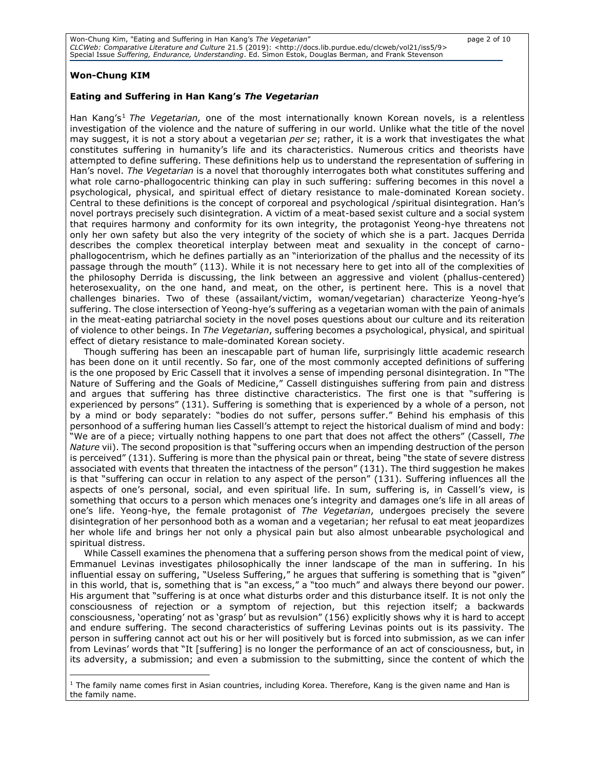### **Won-Chung KIM**

#### **Eating and Suffering in Han Kang's** *The Vegetarian*

Han Kang's<sup>1</sup> *The Vegetarian,* one of the most internationally known Korean novels, is a relentless investigation of the violence and the nature of suffering in our world. Unlike what the title of the novel may suggest, it is not a story about a vegetarian *per se*; rather, it is a work that investigates the what constitutes suffering in humanity's life and its characteristics. Numerous critics and theorists have attempted to define suffering. These definitions help us to understand the representation of suffering in Han's novel. *The Vegetarian* is a novel that thoroughly interrogates both what constitutes suffering and what role carno-phallogocentric thinking can play in such suffering: suffering becomes in this novel a psychological, physical, and spiritual effect of dietary resistance to male-dominated Korean society. Central to these definitions is the concept of corporeal and psychological /spiritual disintegration. Han's novel portrays precisely such disintegration. A victim of a meat-based sexist culture and a social system that requires harmony and conformity for its own integrity, the protagonist Yeong-hye threatens not only her own safety but also the very integrity of the society of which she is a part. Jacques Derrida describes the complex theoretical interplay between meat and sexuality in the concept of carnophallogocentrism, which he defines partially as an "interiorization of the phallus and the necessity of its passage through the mouth" (113). While it is not necessary here to get into all of the complexities of the philosophy Derrida is discussing, the link between an aggressive and violent (phallus-centered) heterosexuality, on the one hand, and meat, on the other, is pertinent here. This is a novel that challenges binaries. Two of these (assailant/victim, woman/vegetarian) characterize Yeong-hye's suffering. The close intersection of Yeong-hye's suffering as a vegetarian woman with the pain of animals in the meat-eating patriarchal society in the novel poses questions about our culture and its reiteration of violence to other beings. In *The Vegetarian*, suffering becomes a psychological, physical, and spiritual effect of dietary resistance to male-dominated Korean society.

Though suffering has been an inescapable part of human life, surprisingly little academic research has been done on it until recently. So far, one of the most commonly accepted definitions of suffering is the one proposed by Eric Cassell that it involves a sense of impending personal disintegration. In "The Nature of Suffering and the Goals of Medicine," Cassell distinguishes suffering from pain and distress and argues that suffering has three distinctive characteristics. The first one is that "suffering is experienced by persons" (131). Suffering is something that is experienced by a whole of a person, not by a mind or body separately: "bodies do not suffer, persons suffer." Behind his emphasis of this personhood of a suffering human lies Cassell's attempt to reject the historical dualism of mind and body: "We are of a piece; virtually nothing happens to one part that does not affect the others" (Cassell, *The Nature* vii). The second proposition is that "suffering occurs when an impending destruction of the person is perceived" (131). Suffering is more than the physical pain or threat, being "the state of severe distress associated with events that threaten the intactness of the person" (131). The third suggestion he makes is that "suffering can occur in relation to any aspect of the person" (131). Suffering influences all the aspects of one's personal, social, and even spiritual life. In sum, suffering is, in Cassell's view, is something that occurs to a person which menaces one's integrity and damages one's life in all areas of one's life. Yeong-hye, the female protagonist of *The Vegetarian*, undergoes precisely the severe disintegration of her personhood both as a woman and a vegetarian; her refusal to eat meat jeopardizes her whole life and brings her not only a physical pain but also almost unbearable psychological and spiritual distress.

While Cassell examines the phenomena that a suffering person shows from the medical point of view, Emmanuel Levinas investigates philosophically the inner landscape of the man in suffering. In his influential essay on suffering, "Useless Suffering," he argues that suffering is something that is "given" in this world, that is, something that is "an excess," a "too much" and always there beyond our power. His argument that "suffering is at once what disturbs order and this disturbance itself. It is not only the consciousness of rejection or a symptom of rejection, but this rejection itself; a backwards consciousness, 'operating' not as 'grasp' but as revulsion" (156) explicitly shows why it is hard to accept and endure suffering. The second characteristics of suffering Levinas points out is its passivity. The person in suffering cannot act out his or her will positively but is forced into submission, as we can infer from Levinas' words that "It [suffering] is no longer the performance of an act of consciousness, but, in its adversity, a submission; and even a submission to the submitting, since the content of which the

 $<sup>1</sup>$  The family name comes first in Asian countries, including Korea. Therefore, Kang is the given name and Han is</sup> the family name.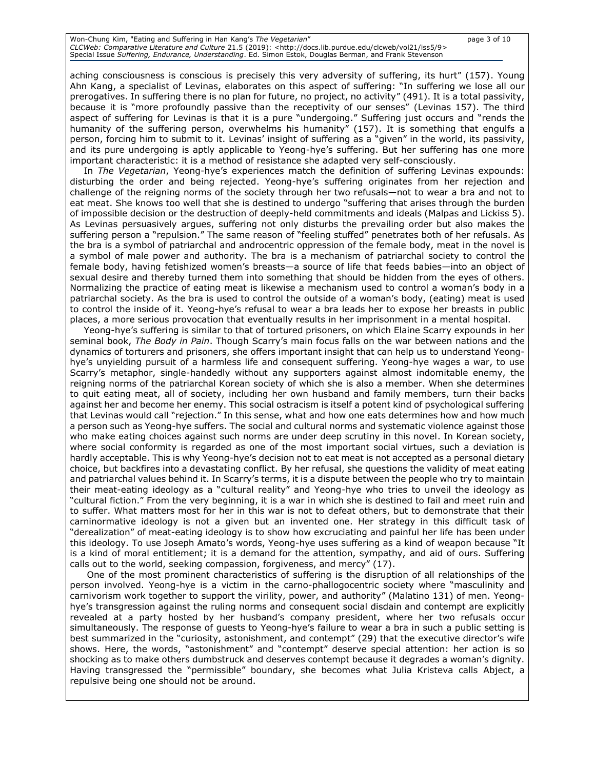### Won-Chung Kim, "Eating and Suffering in Han Kang's *The Vegetarian*" page 3 of 10 *CLCWeb: Comparative Literature and Culture 21.*5 (2019): <http://docs.lib.purdue.edu/clcweb/vol21/iss5/9><br>Special Issue *Suffering, Endurance, Understanding*. Ed. Simon Estok, Douglas Berman, and Frank Stevenson

aching consciousness is conscious is precisely this very adversity of suffering, its hurt" (157). Young Ahn Kang, a specialist of Levinas, elaborates on this aspect of suffering: "In suffering we lose all our prerogatives. In suffering there is no plan for future, no project, no activity" (491). It is a total passivity, because it is "more profoundly passive than the receptivity of our senses" (Levinas 157). The third aspect of suffering for Levinas is that it is a pure "undergoing." Suffering just occurs and "rends the humanity of the suffering person, overwhelms his humanity" (157). It is something that engulfs a person, forcing him to submit to it. Levinas' insight of suffering as a "given" in the world, its passivity, and its pure undergoing is aptly applicable to Yeong-hye's suffering. But her suffering has one more important characteristic: it is a method of resistance she adapted very self-consciously.

In *The Vegetarian*, Yeong-hye's experiences match the definition of suffering Levinas expounds: disturbing the order and being rejected. Yeong-hye's suffering originates from her rejection and challenge of the reigning norms of the society through her two refusals—not to wear a bra and not to eat meat. She knows too well that she is destined to undergo "suffering that arises through the burden of impossible decision or the destruction of deeply-held commitments and ideals (Malpas and Lickiss 5). As Levinas persuasively argues, suffering not only disturbs the prevailing order but also makes the suffering person a "repulsion." The same reason of "feeling stuffed" penetrates both of her refusals. As the bra is a symbol of patriarchal and androcentric oppression of the female body, meat in the novel is a symbol of male power and authority. The bra is a mechanism of patriarchal society to control the female body, having fetishized women's breasts—a source of life that feeds babies—into an object of sexual desire and thereby turned them into something that should be hidden from the eyes of others. Normalizing the practice of eating meat is likewise a mechanism used to control a woman's body in a patriarchal society. As the bra is used to control the outside of a woman's body, (eating) meat is used to control the inside of it. Yeong-hye's refusal to wear a bra leads her to expose her breasts in public places, a more serious provocation that eventually results in her imprisonment in a mental hospital.

Yeong-hye's suffering is similar to that of tortured prisoners, on which Elaine Scarry expounds in her seminal book, *The Body in Pain*. Though Scarry's main focus falls on the war between nations and the dynamics of torturers and prisoners, she offers important insight that can help us to understand Yeonghye's unyielding pursuit of a harmless life and consequent suffering. Yeong-hye wages a war, to use Scarry's metaphor, single-handedly without any supporters against almost indomitable enemy, the reigning norms of the patriarchal Korean society of which she is also a member. When she determines to quit eating meat, all of society, including her own husband and family members, turn their backs against her and become her enemy. This social ostracism is itself a potent kind of psychological suffering that Levinas would call "rejection." In this sense, what and how one eats determines how and how much a person such as Yeong-hye suffers. The social and cultural norms and systematic violence against those who make eating choices against such norms are under deep scrutiny in this novel. In Korean society, where social conformity is regarded as one of the most important social virtues, such a deviation is hardly acceptable. This is why Yeong-hye's decision not to eat meat is not accepted as a personal dietary choice, but backfires into a devastating conflict. By her refusal, she questions the validity of meat eating and patriarchal values behind it. In Scarry's terms, it is a dispute between the people who try to maintain their meat-eating ideology as a "cultural reality" and Yeong-hye who tries to unveil the ideology as "cultural fiction." From the very beginning, it is a war in which she is destined to fail and meet ruin and to suffer. What matters most for her in this war is not to defeat others, but to demonstrate that their carninormative ideology is not a given but an invented one. Her strategy in this difficult task of "derealization" of meat-eating ideology is to show how excruciating and painful her life has been under this ideology. To use Joseph Amato's words, Yeong-hye uses suffering as a kind of weapon because "It is a kind of moral entitlement; it is a demand for the attention, sympathy, and aid of ours. Suffering calls out to the world, seeking compassion, forgiveness, and mercy" (17).

One of the most prominent characteristics of suffering is the disruption of all relationships of the person involved. Yeong-hye is a victim in the carno-phallogocentric society where "masculinity and carnivorism work together to support the virility, power, and authority" (Malatino 131) of men. Yeonghye's transgression against the ruling norms and consequent social disdain and contempt are explicitly revealed at a party hosted by her husband's company president, where her two refusals occur simultaneously. The response of guests to Yeong-hye's failure to wear a bra in such a public setting is best summarized in the "curiosity, astonishment, and contempt" (29) that the executive director's wife shows. Here, the words, "astonishment" and "contempt" deserve special attention: her action is so shocking as to make others dumbstruck and deserves contempt because it degrades a woman's dignity. Having transgressed the "permissible" boundary, she becomes what Julia Kristeva calls Abject, a repulsive being one should not be around.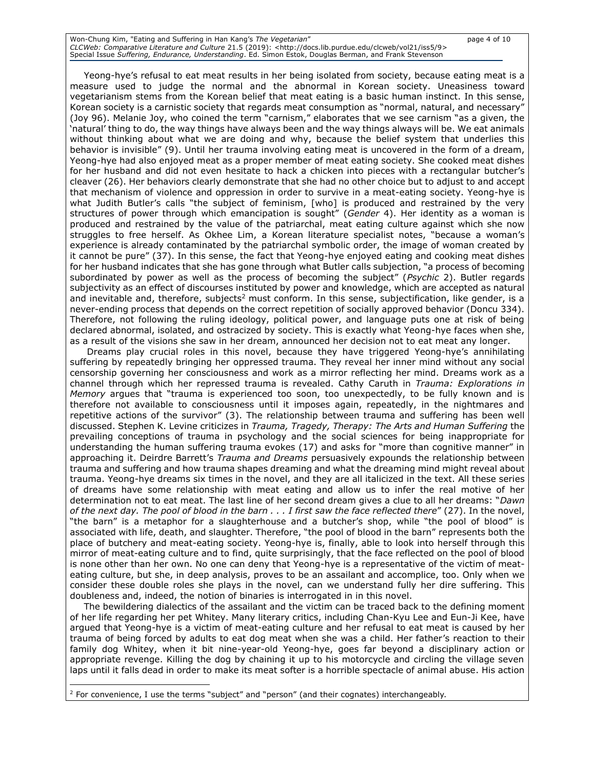| Won-Chung Kim, "Eating and Suffering in Han Kang's The Vegetarian"                                                             | page 4 of 10 |
|--------------------------------------------------------------------------------------------------------------------------------|--------------|
| CLCWeb: Comparative Literature and Culture 21.5 (2019): <http: 9="" clcweb="" docs.lib.purdue.edu="" iss5="" vol21=""></http:> |              |
| Special Issue Suffering, Endurance, Understanding. Ed. Simon Estok, Douglas Berman, and Frank Stevenson                        |              |

Yeong-hye's refusal to eat meat results in her being isolated from society, because eating meat is a measure used to judge the normal and the abnormal in Korean society. Uneasiness toward vegetarianism stems from the Korean belief that meat eating is a basic human instinct. In this sense, Korean society is a carnistic society that regards meat consumption as "normal, natural, and necessary" (Joy 96). Melanie Joy, who coined the term "carnism," elaborates that we see carnism "as a given, the 'natural' thing to do, the way things have always been and the way things always will be. We eat animals without thinking about what we are doing and why, because the belief system that underlies this behavior is invisible" (9). Until her trauma involving eating meat is uncovered in the form of a dream, Yeong-hye had also enjoyed meat as a proper member of meat eating society. She cooked meat dishes for her husband and did not even hesitate to hack a chicken into pieces with a rectangular butcher's cleaver (26). Her behaviors clearly demonstrate that she had no other choice but to adjust to and accept that mechanism of violence and oppression in order to survive in a meat-eating society. Yeong-hye is what Judith Butler's calls "the subject of feminism, [who] is produced and restrained by the very structures of power through which emancipation is sought" (*Gender* 4). Her identity as a woman is produced and restrained by the value of the patriarchal, meat eating culture against which she now struggles to free herself. As Okhee Lim, a Korean literature specialist notes, "because a woman's experience is already contaminated by the patriarchal symbolic order, the image of woman created by it cannot be pure" (37). In this sense, the fact that Yeong-hye enjoyed eating and cooking meat dishes for her husband indicates that she has gone through what Butler calls subjection, "a process of becoming subordinated by power as well as the process of becoming the subject" (*Psychic* 2). Butler regards subjectivity as an effect of discourses instituted by power and knowledge, which are accepted as natural and inevitable and, therefore, subjects<sup>2</sup> must conform. In this sense, subjectification, like gender, is a never-ending process that depends on the correct repetition of socially approved behavior (Doncu 334). Therefore, not following the ruling ideology, political power, and language puts one at risk of being declared abnormal, isolated, and ostracized by society. This is exactly what Yeong-hye faces when she, as a result of the visions she saw in her dream, announced her decision not to eat meat any longer.

Dreams play crucial roles in this novel, because they have triggered Yeong-hye's annihilating suffering by repeatedly bringing her oppressed trauma. They reveal her inner mind without any social censorship governing her consciousness and work as a mirror reflecting her mind. Dreams work as a channel through which her repressed trauma is revealed. Cathy Caruth in *Trauma: Explorations in Memory* argues that "trauma is experienced too soon, too unexpectedly, to be fully known and is therefore not available to consciousness until it imposes again, repeatedly, in the nightmares and repetitive actions of the survivor" (3). The relationship between trauma and suffering has been well discussed. Stephen K. Levine criticizes in *Trauma, Tragedy, Therapy: The Arts and Human Suffering* the prevailing conceptions of trauma in psychology and the social sciences for being inappropriate for understanding the human suffering trauma evokes (17) and asks for "more than cognitive manner" in approaching it. Deirdre Barrett's *Trauma and Dreams* persuasively expounds the relationship between trauma and suffering and how trauma shapes dreaming and what the dreaming mind might reveal about trauma. Yeong-hye dreams six times in the novel, and they are all italicized in the text. All these series of dreams have some relationship with meat eating and allow us to infer the real motive of her determination not to eat meat. The last line of her second dream gives a clue to all her dreams: "*Dawn of the next day. The pool of blood in the barn . . . I first saw the face reflected there*" (27). In the novel, "the barn" is a metaphor for a slaughterhouse and a butcher's shop, while "the pool of blood" is associated with life, death, and slaughter. Therefore, "the pool of blood in the barn" represents both the place of butchery and meat-eating society. Yeong-hye is, finally, able to look into herself through this mirror of meat-eating culture and to find, quite surprisingly, that the face reflected on the pool of blood is none other than her own. No one can deny that Yeong-hye is a representative of the victim of meateating culture, but she, in deep analysis, proves to be an assailant and accomplice, too. Only when we consider these double roles she plays in the novel, can we understand fully her dire suffering. This doubleness and, indeed, the notion of binaries is interrogated in in this novel.

The bewildering dialectics of the assailant and the victim can be traced back to the defining moment of her life regarding her pet Whitey. Many literary critics, including Chan-Kyu Lee and Eun-Ji Kee, have argued that Yeong-hye is a victim of meat-eating culture and her refusal to eat meat is caused by her trauma of being forced by adults to eat dog meat when she was a child. Her father's reaction to their family dog Whitey, when it bit nine-year-old Yeong-hye, goes far beyond a disciplinary action or appropriate revenge. Killing the dog by chaining it up to his motorcycle and circling the village seven laps until it falls dead in order to make its meat softer is a horrible spectacle of animal abuse. His action

<sup>&</sup>lt;sup>2</sup> For convenience, I use the terms "subject" and "person" (and their cognates) interchangeably.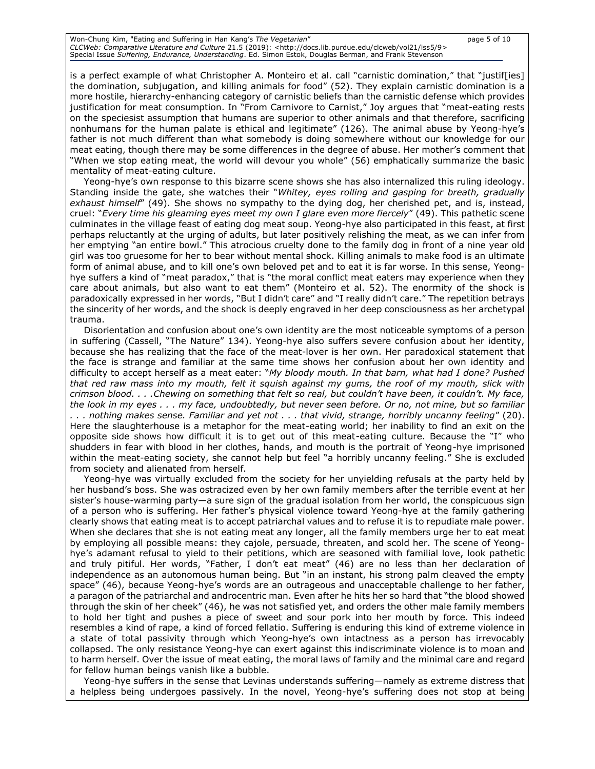| Won-Chung Kim, "Eating and Suffering in Han Kang's The Vegetarian"                                                             | page 5 of 10 |
|--------------------------------------------------------------------------------------------------------------------------------|--------------|
| CLCWeb: Comparative Literature and Culture 21.5 (2019): <http: 9="" clcweb="" docs.lib.purdue.edu="" iss5="" vol21=""></http:> |              |
| Special Issue Suffering, Endurance, Understanding. Ed. Simon Estok, Douglas Berman, and Frank Stevenson                        |              |

is a perfect example of what Christopher A. Monteiro et al. call "carnistic domination," that "justif[ies] the domination, subjugation, and killing animals for food" (52). They explain carnistic domination is a more hostile, hierarchy-enhancing category of carnistic beliefs than the carnistic defense which provides justification for meat consumption. In "From Carnivore to Carnist," Joy argues that "meat-eating rests on the speciesist assumption that humans are superior to other animals and that therefore, sacrificing nonhumans for the human palate is ethical and legitimate" (126). The animal abuse by Yeong-hye's father is not much different than what somebody is doing somewhere without our knowledge for our meat eating, though there may be some differences in the degree of abuse. Her mother's comment that "When we stop eating meat, the world will devour you whole" (56) emphatically summarize the basic mentality of meat-eating culture.

Yeong-hye's own response to this bizarre scene shows she has also internalized this ruling ideology. Standing inside the gate, she watches their "*Whitey, eyes rolling and gasping for breath, gradually exhaust himself*" (49). She shows no sympathy to the dying dog, her cherished pet, and is, instead, cruel: "*Every time his gleaming eyes meet my own I glare even more fiercely*" (49). This pathetic scene culminates in the village feast of eating dog meat soup. Yeong-hye also participated in this feast, at first perhaps reluctantly at the urging of adults, but later positively relishing the meat, as we can infer from her emptying "an entire bowl." This atrocious cruelty done to the family dog in front of a nine year old girl was too gruesome for her to bear without mental shock. Killing animals to make food is an ultimate form of animal abuse, and to kill one's own beloved pet and to eat it is far worse. In this sense, Yeonghye suffers a kind of "meat paradox," that is "the moral conflict meat eaters may experience when they care about animals, but also want to eat them" (Monteiro et al. 52). The enormity of the shock is paradoxically expressed in her words, "But I didn't care" and "I really didn't care." The repetition betrays the sincerity of her words, and the shock is deeply engraved in her deep consciousness as her archetypal trauma.

Disorientation and confusion about one's own identity are the most noticeable symptoms of a person in suffering (Cassell, "The Nature" 134). Yeong-hye also suffers severe confusion about her identity, because she has realizing that the face of the meat-lover is her own. Her paradoxical statement that the face is strange and familiar at the same time shows her confusion about her own identity and difficulty to accept herself as a meat eater: "*My bloody mouth. In that barn, what had I done? Pushed that red raw mass into my mouth, felt it squish against my gums, the roof of my mouth, slick with crimson blood. . . .Chewing on something that felt so real, but couldn't have been, it couldn't. My face, the look in my eyes . . . my face, undoubtedly, but never seen before. Or no, not mine, but so familiar . . . nothing makes sense. Familiar and yet not . . . that vivid, strange, horribly uncanny feeling*" (20). Here the slaughterhouse is a metaphor for the meat-eating world; her inability to find an exit on the opposite side shows how difficult it is to get out of this meat-eating culture. Because the "I" who shudders in fear with blood in her clothes, hands, and mouth is the portrait of Yeong-hye imprisoned within the meat-eating society, she cannot help but feel "a horribly uncanny feeling." She is excluded from society and alienated from herself.

Yeong-hye was virtually excluded from the society for her unyielding refusals at the party held by her husband's boss. She was ostracized even by her own family members after the terrible event at her sister's house-warming party—a sure sign of the gradual isolation from her world, the conspicuous sign of a person who is suffering. Her father's physical violence toward Yeong-hye at the family gathering clearly shows that eating meat is to accept patriarchal values and to refuse it is to repudiate male power. When she declares that she is not eating meat any longer, all the family members urge her to eat meat by employing all possible means: they cajole, persuade, threaten, and scold her. The scene of Yeonghye's adamant refusal to yield to their petitions, which are seasoned with familial love, look pathetic and truly pitiful. Her words, "Father, I don't eat meat" (46) are no less than her declaration of independence as an autonomous human being. But "in an instant, his strong palm cleaved the empty space" (46), because Yeong-hye's words are an outrageous and unacceptable challenge to her father, a paragon of the patriarchal and androcentric man. Even after he hits her so hard that "the blood showed through the skin of her cheek" (46), he was not satisfied yet, and orders the other male family members to hold her tight and pushes a piece of sweet and sour pork into her mouth by force. This indeed resembles a kind of rape, a kind of forced fellatio. Suffering is enduring this kind of extreme violence in a state of total passivity through which Yeong-hye's own intactness as a person has irrevocably collapsed. The only resistance Yeong-hye can exert against this indiscriminate violence is to moan and to harm herself. Over the issue of meat eating, the moral laws of family and the minimal care and regard for fellow human beings vanish like a bubble.

Yeong-hye suffers in the sense that Levinas understands suffering—namely as extreme distress that a helpless being undergoes passively. In the novel, Yeong-hye's suffering does not stop at being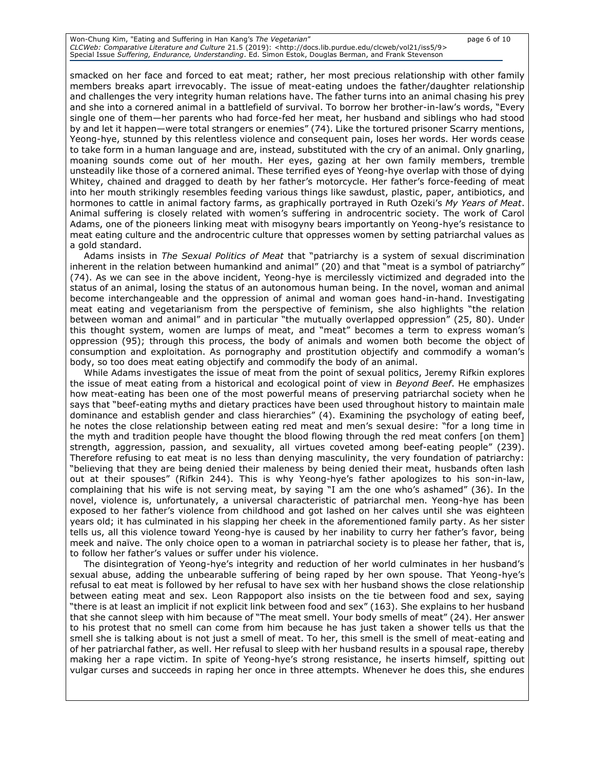| Won-Chung Kim, "Eating and Suffering in Han Kang's The Vegetarian"                                                             | page 6 of 10 |
|--------------------------------------------------------------------------------------------------------------------------------|--------------|
| CLCWeb: Comparative Literature and Culture 21.5 (2019): <http: 9="" clcweb="" docs.lib.purdue.edu="" iss5="" vol21=""></http:> |              |
| Special Issue Suffering, Endurance, Understanding. Ed. Simon Estok, Douglas Berman, and Frank Stevenson                        |              |

smacked on her face and forced to eat meat; rather, her most precious relationship with other family members breaks apart irrevocably. The issue of meat-eating undoes the father/daughter relationship and challenges the very integrity human relations have. The father turns into an animal chasing his prey and she into a cornered animal in a battlefield of survival. To borrow her brother-in-law's words, "Every single one of them—her parents who had force-fed her meat, her husband and siblings who had stood by and let it happen—were total strangers or enemies" (74). Like the tortured prisoner Scarry mentions, Yeong-hye, stunned by this relentless violence and consequent pain, loses her words. Her words cease to take form in a human language and are, instead, substituted with the cry of an animal. Only gnarling, moaning sounds come out of her mouth. Her eyes, gazing at her own family members, tremble unsteadily like those of a cornered animal. These terrified eyes of Yeong-hye overlap with those of dying Whitey, chained and dragged to death by her father's motorcycle. Her father's force-feeding of meat into her mouth strikingly resembles feeding various things like sawdust, plastic, paper, antibiotics, and hormones to cattle in animal factory farms, as graphically portrayed in Ruth Ozeki's *My Years of Meat*. Animal suffering is closely related with women's suffering in androcentric society. The work of Carol Adams, one of the pioneers linking meat with misogyny bears importantly on Yeong-hye's resistance to meat eating culture and the androcentric culture that oppresses women by setting patriarchal values as a gold standard.

Adams insists in *The Sexual Politics of Meat* that "patriarchy is a system of sexual discrimination inherent in the relation between humankind and animal" (20) and that "meat is a symbol of patriarchy" (74). As we can see in the above incident, Yeong-hye is mercilessly victimized and degraded into the status of an animal, losing the status of an autonomous human being. In the novel, woman and animal become interchangeable and the oppression of animal and woman goes hand-in-hand. Investigating meat eating and vegetarianism from the perspective of feminism, she also highlights "the relation between woman and animal" and in particular "the mutually overlapped oppression" (25, 80). Under this thought system, women are lumps of meat, and "meat" becomes a term to express woman's oppression (95); through this process, the body of animals and women both become the object of consumption and exploitation. As pornography and prostitution objectify and commodify a woman's body, so too does meat eating objectify and commodify the body of an animal.

While Adams investigates the issue of meat from the point of sexual politics, Jeremy Rifkin explores the issue of meat eating from a historical and ecological point of view in *Beyond Beef*. He emphasizes how meat-eating has been one of the most powerful means of preserving patriarchal society when he says that "beef-eating myths and dietary practices have been used throughout history to maintain male dominance and establish gender and class hierarchies" (4). Examining the psychology of eating beef, he notes the close relationship between eating red meat and men's sexual desire: "for a long time in the myth and tradition people have thought the blood flowing through the red meat confers [on them] strength, aggression, passion, and sexuality, all virtues coveted among beef-eating people" (239). Therefore refusing to eat meat is no less than denying masculinity, the very foundation of patriarchy: "believing that they are being denied their maleness by being denied their meat, husbands often lash out at their spouses" (Rifkin 244). This is why Yeong-hye's father apologizes to his son-in-law, complaining that his wife is not serving meat, by saying "I am the one who's ashamed" (36). In the novel, violence is, unfortunately, a universal characteristic of patriarchal men. Yeong-hye has been exposed to her father's violence from childhood and got lashed on her calves until she was eighteen years old; it has culminated in his slapping her cheek in the aforementioned family party. As her sister tells us, all this violence toward Yeong-hye is caused by her inability to curry her father's favor, being meek and naïve. The only choice open to a woman in patriarchal society is to please her father, that is, to follow her father's values or suffer under his violence.

The disintegration of Yeong-hye's integrity and reduction of her world culminates in her husband's sexual abuse, adding the unbearable suffering of being raped by her own spouse. That Yeong-hye's refusal to eat meat is followed by her refusal to have sex with her husband shows the close relationship between eating meat and sex. Leon Rappoport also insists on the tie between food and sex, saying "there is at least an implicit if not explicit link between food and sex" (163). She explains to her husband that she cannot sleep with him because of "The meat smell. Your body smells of meat" (24). Her answer to his protest that no smell can come from him because he has just taken a shower tells us that the smell she is talking about is not just a smell of meat. To her, this smell is the smell of meat-eating and of her patriarchal father, as well. Her refusal to sleep with her husband results in a spousal rape, thereby making her a rape victim. In spite of Yeong-hye's strong resistance, he inserts himself, spitting out vulgar curses and succeeds in raping her once in three attempts. Whenever he does this, she endures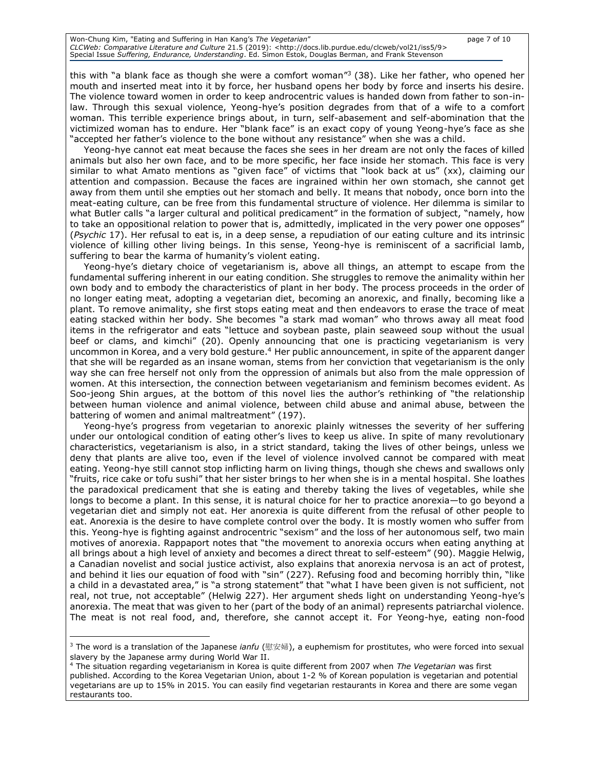## Won-Chung Kim, "Eating and Suffering in Han Kang's *The Vegetarian*" page 7 of 10 *CLCWeb: Comparative Literature and Culture 21.*5 (2019): <http://docs.lib.purdue.edu/clcweb/vol21/iss5/9><br>Special Issue *Suffering, Endurance, Understanding*. Ed. Simon Estok, Douglas Berman, and Frank Stevenson

this with "a blank face as though she were a comfort woman"<sup>3</sup> (38). Like her father, who opened her mouth and inserted meat into it by force, her husband opens her body by force and inserts his desire. The violence toward women in order to keep androcentric values is handed down from father to son-inlaw. Through this sexual violence, Yeong-hye's position degrades from that of a wife to a comfort woman. This terrible experience brings about, in turn, self-abasement and self-abomination that the victimized woman has to endure. Her "blank face" is an exact copy of young Yeong-hye's face as she "accepted her father's violence to the bone without any resistance" when she was a child.

Yeong-hye cannot eat meat because the faces she sees in her dream are not only the faces of killed animals but also her own face, and to be more specific, her face inside her stomach. This face is very similar to what Amato mentions as "given face" of victims that "look back at us" (xx), claiming our attention and compassion. Because the faces are ingrained within her own stomach, she cannot get away from them until she empties out her stomach and belly. It means that nobody, once born into the meat-eating culture, can be free from this fundamental structure of violence. Her dilemma is similar to what Butler calls "a larger cultural and political predicament" in the formation of subject, "namely, how to take an oppositional relation to power that is, admittedly, implicated in the very power one opposes" (*Psychic* 17). Her refusal to eat is, in a deep sense, a repudiation of our eating culture and its intrinsic violence of killing other living beings. In this sense, Yeong-hye is reminiscent of a sacrificial lamb, suffering to bear the karma of humanity's violent eating.

Yeong-hye's dietary choice of vegetarianism is, above all things, an attempt to escape from the fundamental suffering inherent in our eating condition. She struggles to remove the animality within her own body and to embody the characteristics of plant in her body. The process proceeds in the order of no longer eating meat, adopting a vegetarian diet, becoming an anorexic, and finally, becoming like a plant. To remove animality, she first stops eating meat and then endeavors to erase the trace of meat eating stacked within her body. She becomes "a stark mad woman" who throws away all meat food items in the refrigerator and eats "lettuce and soybean paste, plain seaweed soup without the usual beef or clams, and kimchi" (20). Openly announcing that one is practicing vegetarianism is very uncommon in Korea, and a very bold gesture.<sup>4</sup> Her public announcement, in spite of the apparent danger that she will be regarded as an insane woman, stems from her conviction that vegetarianism is the only way she can free herself not only from the oppression of animals but also from the male oppression of women. At this intersection, the connection between vegetarianism and feminism becomes evident. As Soo-jeong Shin argues, at the bottom of this novel lies the author's rethinking of "the relationship between human violence and animal violence, between child abuse and animal abuse, between the battering of women and animal maltreatment" (197).

Yeong-hye's progress from vegetarian to anorexic plainly witnesses the severity of her suffering under our ontological condition of eating other's lives to keep us alive. In spite of many revolutionary characteristics, vegetarianism is also, in a strict standard, taking the lives of other beings, unless we deny that plants are alive too, even if the level of violence involved cannot be compared with meat eating. Yeong-hye still cannot stop inflicting harm on living things, though she chews and swallows only "fruits, rice cake or tofu sushi" that her sister brings to her when she is in a mental hospital. She loathes the paradoxical predicament that she is eating and thereby taking the lives of vegetables, while she longs to become a plant. In this sense, it is natural choice for her to practice anorexia—to go beyond a vegetarian diet and simply not eat. Her anorexia is quite different from the refusal of other people to eat. Anorexia is the desire to have complete control over the body. It is mostly women who suffer from this. Yeong-hye is fighting against androcentric "sexism" and the loss of her autonomous self, two main motives of anorexia. Rappaport notes that "the movement to anorexia occurs when eating anything at all brings about a high level of anxiety and becomes a direct threat to self-esteem" (90). Maggie Helwig, a Canadian novelist and social justice activist, also explains that anorexia nervosa is an act of protest, and behind it lies our equation of food with "sin" (227). Refusing food and becoming horribly thin, "like a child in a devastated area," is "a strong statement" that "what I have been given is not sufficient, not real, not true, not acceptable" (Helwig 227). Her argument sheds light on understanding Yeong-hye's anorexia. The meat that was given to her (part of the body of an animal) represents patriarchal violence. The meat is not real food, and, therefore, she cannot accept it. For Yeong-hye, eating non-food

<sup>3</sup> The word is a translation of the Japanese *ianfu* (慰安婦), a euphemism for [prostitutes](https://en.wikipedia.org/wiki/Prostitute), who were forced into [sexual](https://en.wikipedia.org/wiki/Sexual_slavery)  [slavery](https://en.wikipedia.org/wiki/Sexual_slavery) by the [Japanese army](https://en.wikipedia.org/wiki/Imperial_Japanese_Army) during [World War II.](https://en.wikipedia.org/wiki/World_War_II)

<sup>4</sup> The situation regarding vegetarianism in Korea is quite different from 2007 when *The Vegetarian* was first published. According to the Korea Vegetarian Union, about 1-2 % of Korean population is vegetarian and potential vegetarians are up to 15% in 2015. You can easily find vegetarian restaurants in Korea and there are some vegan restaurants too.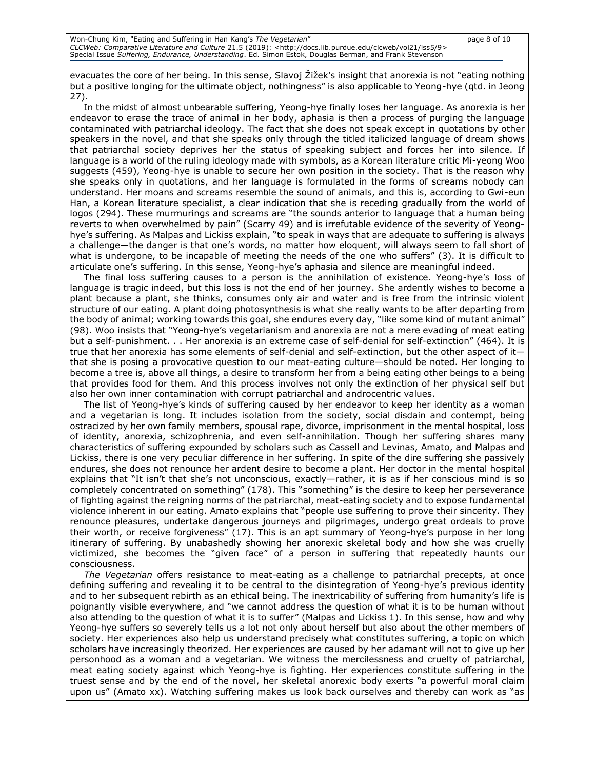evacuates the core of her being. In this sense, Slavoj Žižek's insight that anorexia is not "eating nothing but a positive longing for the ultimate object, nothingness" is also applicable to Yeong-hye (qtd. in Jeong 27).

In the midst of almost unbearable suffering, Yeong-hye finally loses her language. As anorexia is her endeavor to erase the trace of animal in her body, aphasia is then a process of purging the language contaminated with patriarchal ideology. The fact that she does not speak except in quotations by other speakers in the novel, and that she speaks only through the titled italicized language of dream shows that patriarchal society deprives her the status of speaking subject and forces her into silence. If language is a world of the ruling ideology made with symbols, as a Korean literature critic Mi-yeong Woo suggests (459), Yeong-hye is unable to secure her own position in the society. That is the reason why she speaks only in quotations, and her language is formulated in the forms of screams nobody can understand. Her moans and screams resemble the sound of animals, and this is, according to Gwi-eun Han, a Korean literature specialist, a clear indication that she is receding gradually from the world of logos (294). These murmurings and screams are "the sounds anterior to language that a human being reverts to when overwhelmed by pain" (Scarry 49) and is irrefutable evidence of the severity of Yeonghye's suffering. As Malpas and Lickiss explain, "to speak in ways that are adequate to suffering is always a challenge—the danger is that one's words, no matter how eloquent, will always seem to fall short of what is undergone, to be incapable of meeting the needs of the one who suffers" (3). It is difficult to articulate one's suffering. In this sense, Yeong-hye's aphasia and silence are meaningful indeed.

The final loss suffering causes to a person is the annihilation of existence. Yeong-hye's loss of language is tragic indeed, but this loss is not the end of her journey. She ardently wishes to become a plant because a plant, she thinks, consumes only air and water and is free from the intrinsic violent structure of our eating. A plant doing photosynthesis is what she really wants to be after departing from the body of animal; working towards this goal, she endures every day, "like some kind of mutant animal" (98). Woo insists that "Yeong-hye's vegetarianism and anorexia are not a mere evading of meat eating but a self-punishment. . . Her anorexia is an extreme case of self-denial for self-extinction" (464). It is true that her anorexia has some elements of self-denial and self-extinction, but the other aspect of it that she is posing a provocative question to our meat-eating culture—should be noted. Her longing to become a tree is, above all things, a desire to transform her from a being eating other beings to a being that provides food for them. And this process involves not only the extinction of her physical self but also her own inner contamination with corrupt patriarchal and androcentric values.

The list of Yeong-hye's kinds of suffering caused by her endeavor to keep her identity as a woman and a vegetarian is long. It includes isolation from the society, social disdain and contempt, being ostracized by her own family members, spousal rape, divorce, imprisonment in the mental hospital, loss of identity, anorexia, schizophrenia, and even self-annihilation. Though her suffering shares many characteristics of suffering expounded by scholars such as Cassell and Levinas, Amato, and Malpas and Lickiss, there is one very peculiar difference in her suffering. In spite of the dire suffering she passively endures, she does not renounce her ardent desire to become a plant. Her doctor in the mental hospital explains that "It isn't that she's not unconscious, exactly—rather, it is as if her conscious mind is so completely concentrated on something" (178). This "something" is the desire to keep her perseverance of fighting against the reigning norms of the patriarchal, meat-eating society and to expose fundamental violence inherent in our eating. Amato explains that "people use suffering to prove their sincerity. They renounce pleasures, undertake dangerous journeys and pilgrimages, undergo great ordeals to prove their worth, or receive forgiveness" (17). This is an apt summary of Yeong-hye's purpose in her long itinerary of suffering. By unabashedly showing her anorexic skeletal body and how she was cruelly victimized, she becomes the "given face" of a person in suffering that repeatedly haunts our consciousness.

*The Vegetarian* offers resistance to meat-eating as a challenge to patriarchal precepts, at once defining suffering and revealing it to be central to the disintegration of Yeong-hye's previous identity and to her subsequent rebirth as an ethical being. The inextricability of suffering from humanity's life is poignantly visible everywhere, and "we cannot address the question of what it is to be human without also attending to the question of what it is to suffer" (Malpas and Lickiss 1). In this sense, how and why Yeong-hye suffers so severely tells us a lot not only about herself but also about the other members of society. Her experiences also help us understand precisely what constitutes suffering, a topic on which scholars have increasingly theorized. Her experiences are caused by her adamant will not to give up her personhood as a woman and a vegetarian. We witness the mercilessness and cruelty of patriarchal, meat eating society against which Yeong-hye is fighting. Her experiences constitute suffering in the truest sense and by the end of the novel, her skeletal anorexic body exerts "a powerful moral claim upon us" (Amato xx). Watching suffering makes us look back ourselves and thereby can work as "as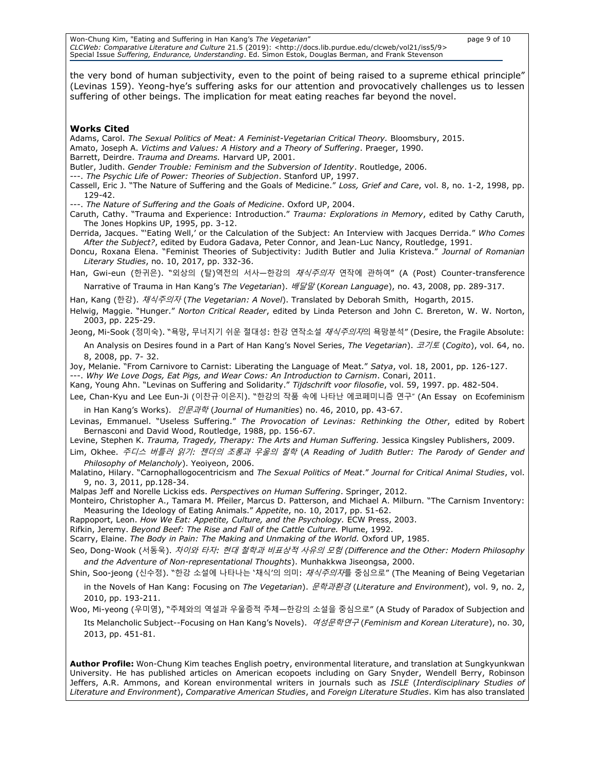Won-Chung Kim, "Eating and Suffering in Han Kang's *The Vegetarian*" page 9 of 10 *CLCWeb: Comparative Literature and Culture 21.*5 (2019): <http://docs.lib.purdue.edu/clcweb/vol21/iss5/9><br>Special Issue *Suffering, Endurance, Understanding*. Ed. Simon Estok, Douglas Berman, and Frank Stevenson

the very bond of human subjectivity, even to the point of being raised to a supreme ethical principle" (Levinas 159). Yeong-hye's suffering asks for our attention and provocatively challenges us to lessen suffering of other beings. The implication for meat eating reaches far beyond the novel.

#### **Works Cited**

Adams, Carol. *The Sexual Politics of Meat: A Feminist-Vegetarian Critical Theory.* Bloomsbury, 2015.

Amato, Joseph A. *Victims and Values: A History and a Theory of Suffering*. Praeger, 1990.

Barrett, Deirdre. *Trauma and Dreams.* Harvard UP, 2001.

Butler, Judith. *Gender Trouble: Feminism and the Subversion of Identity*. Routledge, 2006.

---. *The Psychic Life of Power: Theories of Subjection*. Stanford UP, 1997.

Cassell, Eric J. "The Nature of Suffering and the Goals of Medicine." *Loss, Grief and Care*, vol. 8, no. 1-2, 1998, pp. 129-42.

---. *The Nature of Suffering and the Goals of Medicine*. Oxford UP, 2004.

Caruth, Cathy. "Trauma and Experience: Introduction." *Trauma: Explorations in Memory*, edited by Cathy Caruth, The Jones Hopkins UP, 1995, pp. 3-12.

Derrida, Jacques. "'Eating Well,' or the Calculation of the Subject: An Interview with Jacques Derrida." *Who Comes After the Subject?*, edited by Eudora Gadava, Peter Connor, and Jean-Luc Nancy, Routledge, 1991.

Doncu, Roxana Elena. "Feminist Theories of Subjectivity: Judith Butler and Julia Kristeva." *Journal of Romanian Literary Studies*, no. 10, 2017, pp. 332-36.

Han, Gwi-eun (한귀은). "외상의 (탈)역전의 서사—한강의 *채식주의자* 연작에 관하여" (A (Post) Counter-transference Narrative of Trauma in Han Kang's *The Vegetarian*). 배달말 (*Korean Language*), no. 43, 2008, pp. 289-317.

Han, Kang (한강). 채식주의자 (*The Vegetarian: A Novel*). Translated by Deborah Smith, Hogarth, 2015.

Helwig, Maggie. "Hunger." *Norton Critical Reader*, edited by Linda Peterson and John C. Brereton, W. W. Norton, 2003, pp. 225-29.

Jeong, Mi-Sook (정미숙). "욕망, 무너지기 쉬운 절대성: 한강 연작소설 *채식주의자*의 욕망분석" (Desire, the Fragile Absolute:

An Analysis on Desires found in a Part of Han Kang's Novel Series, *The Vegetarian*). 코기토 (*Cogito*), vol. 64, no. 8, 2008, pp. 7- 32.

Joy, Melanie. "From Carnivore to Carnist: Liberating the Language of Meat." *Satya*, vol. 18, 2001, pp. 126-127.

---. *Why We Love Dogs, Eat Pigs, and Wear Cows: An Introduction to Carnism*. Conari, 2011.

Kang, Young Ahn. "Levinas on Suffering and Solidarity." *Tijdschrift voor filosofie*, vol. 59, 1997. pp. 482-504.

Lee, Chan-Kyu and Lee Eun-Ji (이찬규ˑ이은지). "한강의 작품 속에 나타난 에코페미니즘 연구" (An Essay on Ecofeminism in Han Kang's Works). 인문과학 (*Journal of Humanities*) no. 46, 2010, pp. 43-67.

Levinas, Emmanuel. "Useless Suffering." *The Provocation of Levinas: Rethinking the Other*, edited by Robert Bernasconi and David Wood, Routledge, 1988, pp. 156-67.

Levine, Stephen K. *Trauma, Tragedy, Therapy: The Arts and Human Suffering. Jessica Kingsley Publishers, 2009.* 

Lim, Okhee. 주디스 버틀러 읽기*:* 젠더의 조롱과 우울의 철학 (*A Reading of Judith Butler: The Parody of Gender and Philosophy of Melancholy*). Yeoiyeon, 2006.

Malatino, Hilary. "Carnophallogocentricism and *The Sexual Politics of Meat*." *Journal for Critical Animal Studies*, vol. 9, no. 3, 2011, pp.128-34.

Malpas Jeff and Norelle Lickiss eds. *Perspectives on Human Suffering*. Springer, 2012.

Monteiro, Christopher A., Tamara M. Pfeiler, Marcus D. Patterson, and Michael A. Milburn. "The Carnism Inventory: Measuring the Ideology of Eating Animals." *Appetite*, no. 10, 2017, pp. 51-62.

Rappoport, Leon. *How We Eat: Appetite, Culture, and the Psychology.* ECW Press, 2003.

Rifkin, Jeremy. *Beyond Beef: The Rise and Fall of the Cattle Culture.* Plume, 1992.

Scarry, Elaine. *The Body in Pain: The Making and Unmaking of the World.* Oxford UP, 1985.

Seo, Dong-Wook (서동욱). 차이와 타자*:* 현대 철학과 비표상적 사유의 모험 *(Difference and the Other: Modern Philosophy and the Adventure of Non-representational Thoughts*). Munhakkwa Jiseongsa, 2000.

Shin, Soo-jeong (신수정). "한강 소설에 나타나는 '채식'의 의미: *채식주의자*를 중심으로" (The Meaning of Being Vegetarian

in the Novels of Han Kang: Focusing on *The Vegetarian*). 문학과환경 (*Literature and Environment*), vol. 9, no. 2, 2010, pp. 193-211.

Woo, Mi-yeong (우미영), "주체와의 역설과 우울증적 주체—한강의 소설을 중심으로" (A Study of Paradox of Subjection and Its Melancholic Subject--Focusing on Han Kang's Novels). 여성문학연구 (*Feminism and Korean Literature*), no. 30, 2013, pp. 451-81.

**Author Profile:** Won-Chung Kim teaches English poetry, environmental literature, and translation at Sungkyunkwan University. He has published articles on American ecopoets including on Gary Snyder, Wendell Berry, Robinson Jeffers, A.R. Ammons, and Korean environmental writers in journals such as *ISLE* (*Interdisciplinary Studies of Literature and Environment*), *Comparative American Studies*, and *Foreign Literature Studies*. Kim has also translated